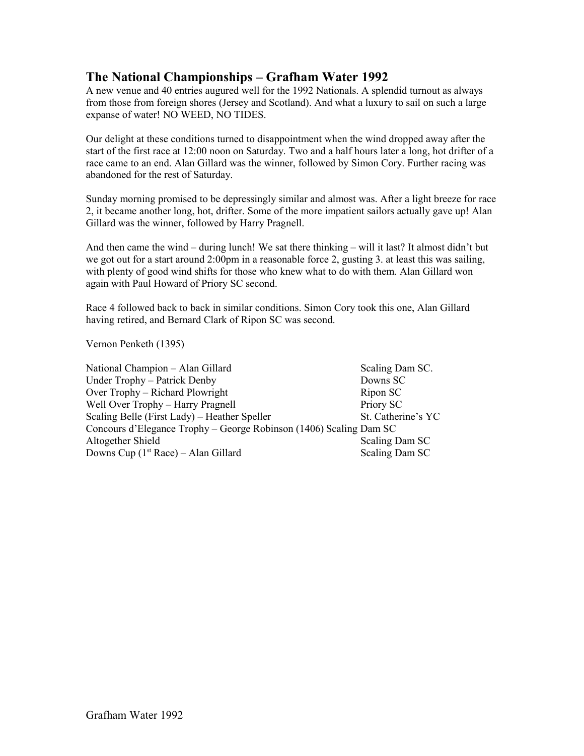## **The National Championships – Grafham Water 1992**

A new venue and 40 entries augured well for the 1992 Nationals. A splendid turnout as always from those from foreign shores (Jersey and Scotland). And what a luxury to sail on such a large expanse of water! NO WEED, NO TIDES.

Our delight at these conditions turned to disappointment when the wind dropped away after the start of the first race at 12:00 noon on Saturday. Two and a half hours later a long, hot drifter of a race came to an end. Alan Gillard was the winner, followed by Simon Cory. Further racing was abandoned for the rest of Saturday.

Sunday morning promised to be depressingly similar and almost was. After a light breeze for race 2, it became another long, hot, drifter. Some of the more impatient sailors actually gave up! Alan Gillard was the winner, followed by Harry Pragnell.

And then came the wind – during lunch! We sat there thinking – will it last? It almost didn't but we got out for a start around 2:00pm in a reasonable force 2, gusting 3. at least this was sailing, with plenty of good wind shifts for those who knew what to do with them. Alan Gillard won again with Paul Howard of Priory SC second.

Race 4 followed back to back in similar conditions. Simon Cory took this one, Alan Gillard having retired, and Bernard Clark of Ripon SC was second.

Vernon Penketh (1395)

National Champion – Alan Gillard Scaling Dam SC. Under Trophy – Patrick Denby Downs SC Over Trophy – Richard Plowright Ripon SC Well Over Trophy – Harry Pragnell Priory SC Scaling Belle (First Lady) – Heather Speller St. Catherine's YC Concours d'Elegance Trophy – George Robinson (1406) Scaling Dam SC Altogether Shield Scaling Dam SC Downs Cup  $(1<sup>st</sup> Race) - Alan Gillard$  Scaling Dam SC